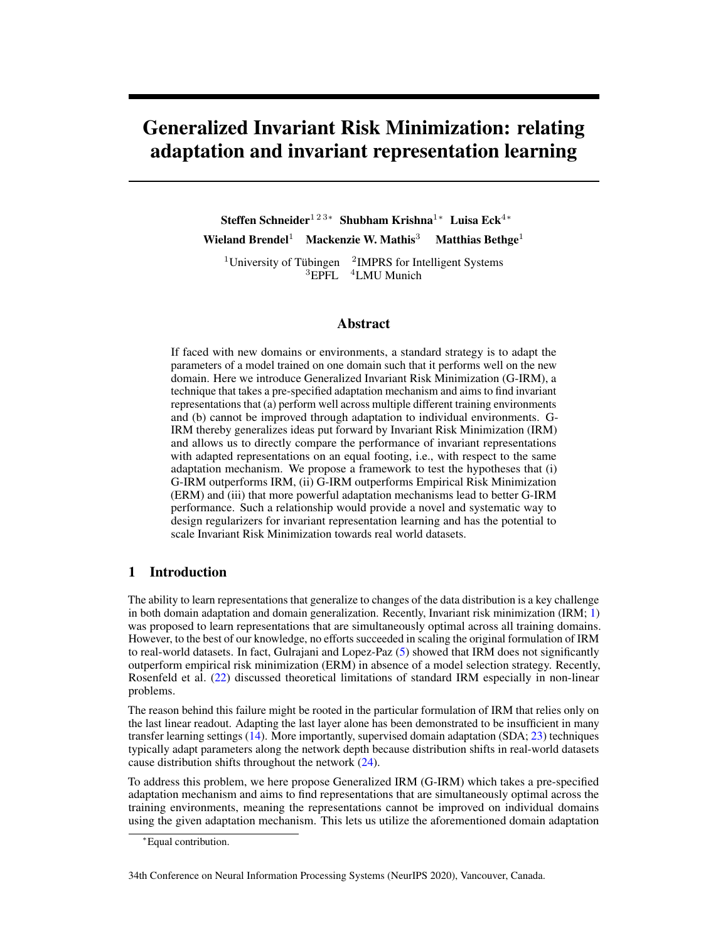# Generalized Invariant Risk Minimization: relating adaptation and invariant representation learning

Steffen Schneider<sup>123∗</sup> Shubham Krishna<sup>1</sup><sup>∗</sup> Luisa Eck<sup>4</sup><sup>∗</sup> Wieland Brendel<sup>1</sup> Mackenzie W. Mathis<sup>3</sup> Matthias Bethge<sup>1</sup>

<sup>1</sup>University of Tübingen  $2$ IMPRS for Intelligent Systems <sup>3</sup>EPFL <sup>4</sup>LMU Munich

## Abstract

If faced with new domains or environments, a standard strategy is to adapt the parameters of a model trained on one domain such that it performs well on the new domain. Here we introduce Generalized Invariant Risk Minimization (G-IRM), a technique that takes a pre-specified adaptation mechanism and aims to find invariant representations that (a) perform well across multiple different training environments and (b) cannot be improved through adaptation to individual environments. G-IRM thereby generalizes ideas put forward by Invariant Risk Minimization (IRM) and allows us to directly compare the performance of invariant representations with adapted representations on an equal footing, i.e., with respect to the same adaptation mechanism. We propose a framework to test the hypotheses that (i) G-IRM outperforms IRM, (ii) G-IRM outperforms Empirical Risk Minimization (ERM) and (iii) that more powerful adaptation mechanisms lead to better G-IRM performance. Such a relationship would provide a novel and systematic way to design regularizers for invariant representation learning and has the potential to scale Invariant Risk Minimization towards real world datasets.

# 1 Introduction

The ability to learn representations that generalize to changes of the data distribution is a key challenge in both domain adaptation and domain generalization. Recently, Invariant risk minimization (IRM; [1\)](#page-5-0) was proposed to learn representations that are simultaneously optimal across all training domains. However, to the best of our knowledge, no efforts succeeded in scaling the original formulation of IRM to real-world datasets. In fact, Gulrajani and Lopez-Paz [\(5\)](#page-5-1) showed that IRM does not significantly outperform empirical risk minimization (ERM) in absence of a model selection strategy. Recently, Rosenfeld et al. [\(22\)](#page-6-0) discussed theoretical limitations of standard IRM especially in non-linear problems.

The reason behind this failure might be rooted in the particular formulation of IRM that relies only on the last linear readout. Adapting the last layer alone has been demonstrated to be insufficient in many transfer learning settings [\(14\)](#page-6-1). More importantly, supervised domain adaptation (SDA; [23\)](#page-6-2) techniques typically adapt parameters along the network depth because distribution shifts in real-world datasets cause distribution shifts throughout the network [\(24\)](#page-6-3).

To address this problem, we here propose Generalized IRM (G-IRM) which takes a pre-specified adaptation mechanism and aims to find representations that are simultaneously optimal across the training environments, meaning the representations cannot be improved on individual domains using the given adaptation mechanism. This lets us utilize the aforementioned domain adaptation

34th Conference on Neural Information Processing Systems (NeurIPS 2020), Vancouver, Canada.

<sup>∗</sup>Equal contribution.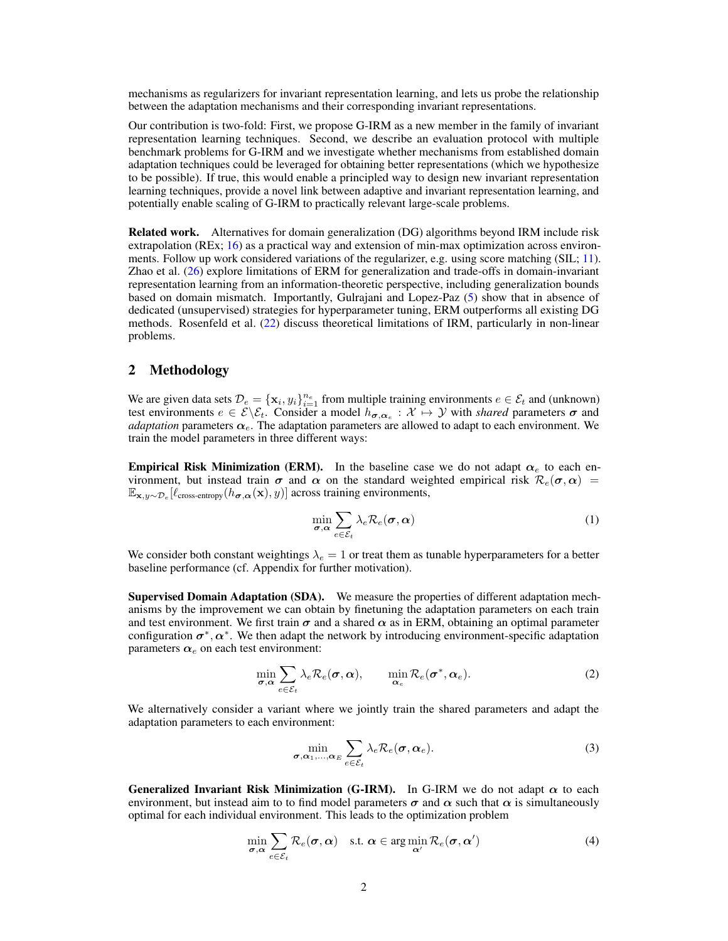mechanisms as regularizers for invariant representation learning, and lets us probe the relationship between the adaptation mechanisms and their corresponding invariant representations.

Our contribution is two-fold: First, we propose G-IRM as a new member in the family of invariant representation learning techniques. Second, we describe an evaluation protocol with multiple benchmark problems for G-IRM and we investigate whether mechanisms from established domain adaptation techniques could be leveraged for obtaining better representations (which we hypothesize to be possible). If true, this would enable a principled way to design new invariant representation learning techniques, provide a novel link between adaptive and invariant representation learning, and potentially enable scaling of G-IRM to practically relevant large-scale problems.

Related work. Alternatives for domain generalization (DG) algorithms beyond IRM include risk extrapolation (REx; [16\)](#page-6-4) as a practical way and extension of min-max optimization across environ-ments. Follow up work considered variations of the regularizer, e.g. using score matching (SIL; [11\)](#page-5-2). Zhao et al. [\(26\)](#page-6-5) explore limitations of ERM for generalization and trade-offs in domain-invariant representation learning from an information-theoretic perspective, including generalization bounds based on domain mismatch. Importantly, Gulrajani and Lopez-Paz [\(5\)](#page-5-1) show that in absence of dedicated (unsupervised) strategies for hyperparameter tuning, ERM outperforms all existing DG methods. Rosenfeld et al. [\(22\)](#page-6-0) discuss theoretical limitations of IRM, particularly in non-linear problems.

## 2 Methodology

We are given data sets  $\mathcal{D}_e = {\mathbf{x}_i, y_i}_{i=1}^{n_e}$  from multiple training environments  $e \in \mathcal{E}_t$  and (unknown) test environments  $e \in \mathcal{E} \backslash \mathcal{E}_t$ . Consider a model  $h_{\sigma, \alpha_e} : \mathcal{X} \mapsto \mathcal{Y}$  with *shared* parameters  $\sigma$  and *adaptation* parameters  $\alpha_e$ . The adaptation parameters are allowed to adapt to each environment. We train the model parameters in three different ways:

**Empirical Risk Minimization (ERM).** In the baseline case we do not adapt  $\alpha_e$  to each environment, but instead train  $\sigma$  and  $\alpha$  on the standard weighted empirical risk  $\mathcal{R}_e(\sigma, \alpha)$  $\mathbb{E}_{\mathbf{x},y\sim\mathcal{D}_e}[\ell_{\text{cross-entropy}}(h_{\boldsymbol{\sigma},\boldsymbol{\alpha}}(\mathbf{x}), y)]$  across training environments,

$$
\min_{\boldsymbol{\sigma}, \boldsymbol{\alpha}} \sum_{e \in \mathcal{E}_t} \lambda_e \mathcal{R}_e(\boldsymbol{\sigma}, \boldsymbol{\alpha}) \tag{1}
$$

We consider both constant weightings  $\lambda_e = 1$  or treat them as tunable hyperparameters for a better baseline performance (cf. Appendix for further motivation).

Supervised Domain Adaptation (SDA). We measure the properties of different adaptation mechanisms by the improvement we can obtain by finetuning the adaptation parameters on each train and test environment. We first train  $\sigma$  and a shared  $\alpha$  as in ERM, obtaining an optimal parameter configuration  $\sigma^*$ ,  $\alpha^*$ . We then adapt the network by introducing environment-specific adaptation parameters  $\alpha_e$  on each test environment:

$$
\min_{\boldsymbol{\sigma}, \boldsymbol{\alpha}} \sum_{e \in \mathcal{E}_t} \lambda_e \mathcal{R}_e(\boldsymbol{\sigma}, \boldsymbol{\alpha}), \qquad \min_{\boldsymbol{\alpha}_e} \mathcal{R}_e(\boldsymbol{\sigma}^*, \boldsymbol{\alpha}_e). \tag{2}
$$

We alternatively consider a variant where we jointly train the shared parameters and adapt the adaptation parameters to each environment:

$$
\min_{\boldsymbol{\sigma}, \boldsymbol{\alpha}_1, \dots, \boldsymbol{\alpha}_E} \sum_{e \in \mathcal{E}_t} \lambda_e \mathcal{R}_e(\boldsymbol{\sigma}, \boldsymbol{\alpha}_e).
$$
 (3)

Generalized Invariant Risk Minimization (G-IRM). In G-IRM we do not adapt  $\alpha$  to each environment, but instead aim to to find model parameters  $\sigma$  and  $\alpha$  such that  $\alpha$  is simultaneously optimal for each individual environment. This leads to the optimization problem

$$
\min_{\boldsymbol{\sigma}, \boldsymbol{\alpha}} \sum_{e \in \mathcal{E}_t} \mathcal{R}_e(\boldsymbol{\sigma}, \boldsymbol{\alpha}) \quad \text{s.t. } \boldsymbol{\alpha} \in \arg \min_{\boldsymbol{\alpha}'} \mathcal{R}_e(\boldsymbol{\sigma}, \boldsymbol{\alpha}') \tag{4}
$$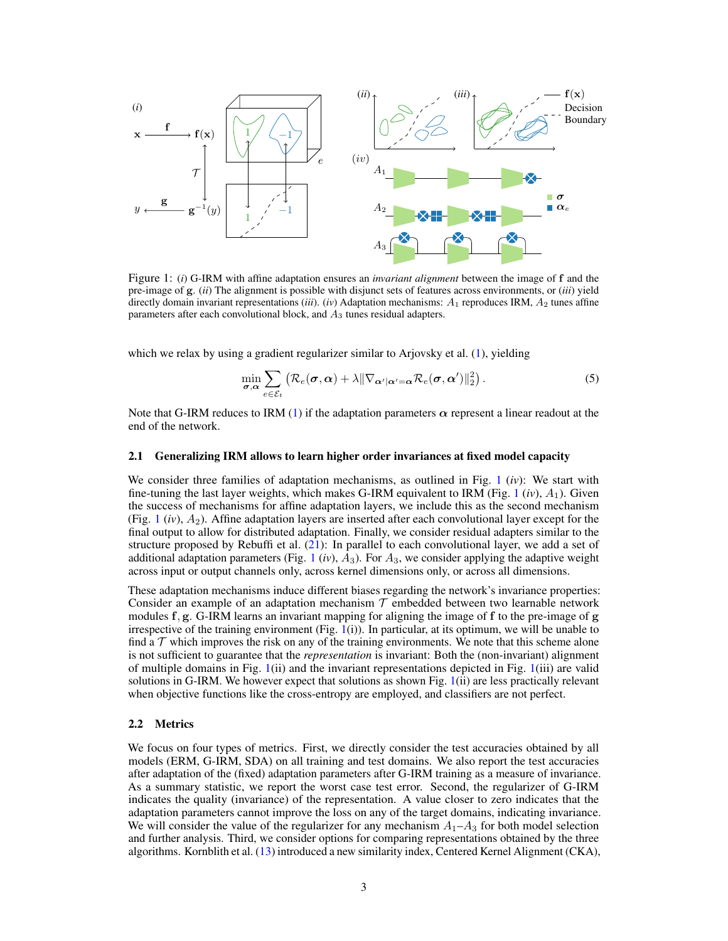<span id="page-2-0"></span>

Figure 1: (*i*) G-IRM with affine adaptation ensures an *invariant alignment* between the image of f and the pre-image of g. (*ii*) The alignment is possible with disjunct sets of features across environments, or (*iii*) yield directly domain invariant representations (*iii*). (*iv*) Adaptation mechanisms:  $A_1$  reproduces IRM,  $A_2$  tunes affine parameters after each convolutional block, and  $A_3$  tunes residual adapters.

which we relax by using a gradient regularizer similar to Arjovsky et al. [\(1\)](#page-5-0), yielding

$$
\min_{\boldsymbol{\sigma},\boldsymbol{\alpha}}\sum_{e\in\mathcal{E}_t}\left(\mathcal{R}_e(\boldsymbol{\sigma},\boldsymbol{\alpha})+\lambda\|\nabla_{\boldsymbol{\alpha}'|\boldsymbol{\alpha}'=\boldsymbol{\alpha}}\mathcal{R}_e(\boldsymbol{\sigma},\boldsymbol{\alpha}')\|_2^2\right).
$$
\n(5)

Note that G-IRM reduces to IRM [\(1\)](#page-5-0) if the adaptation parameters  $\alpha$  represent a linear readout at the end of the network.

#### <span id="page-2-1"></span>2.1 Generalizing IRM allows to learn higher order invariances at fixed model capacity

We consider three families of adaptation mechanisms, as outlined in Fig. [1](#page-2-0) (*iv*): We start with fine-tuning the last layer weights, which makes G-IRM equivalent to IRM (Fig. [1](#page-2-0) (*iv*),  $A_1$ ). Given the success of mechanisms for affine adaptation layers, we include this as the second mechanism (Fig. [1](#page-2-0) (*iv*),  $A_2$ ). Affine adaptation layers are inserted after each convolutional layer except for the final output to allow for distributed adaptation. Finally, we consider residual adapters similar to the structure proposed by Rebuffi et al.  $(21)$ : In parallel to each convolutional layer, we add a set of additional adaptation parameters (Fig. [1](#page-2-0) (*iv*),  $A_3$ ). For  $A_3$ , we consider applying the adaptive weight across input or output channels only, across kernel dimensions only, or across all dimensions.

These adaptation mechanisms induce different biases regarding the network's invariance properties: Consider an example of an adaptation mechanism  $T$  embedded between two learnable network modules f, g. G-IRM learns an invariant mapping for aligning the image of f to the pre-image of g irrespective of the training environment (Fig.  $1(i)$  $1(i)$ ). In particular, at its optimum, we will be unable to find a  $\mathcal T$  which improves the risk on any of the training environments. We note that this scheme alone is not sufficient to guarantee that the *representation* is invariant: Both the (non-invariant) alignment of multiple domains in Fig. [1\(](#page-2-0)ii) and the invariant representations depicted in Fig. [1\(](#page-2-0)iii) are valid solutions in G-IRM. We however expect that solutions as shown Fig. [1\(](#page-2-0)ii) are less practically relevant when objective functions like the cross-entropy are employed, and classifiers are not perfect.

#### <span id="page-2-2"></span>2.2 Metrics

We focus on four types of metrics. First, we directly consider the test accuracies obtained by all models (ERM, G-IRM, SDA) on all training and test domains. We also report the test accuracies after adaptation of the (fixed) adaptation parameters after G-IRM training as a measure of invariance. As a summary statistic, we report the worst case test error. Second, the regularizer of G-IRM indicates the quality (invariance) of the representation. A value closer to zero indicates that the adaptation parameters cannot improve the loss on any of the target domains, indicating invariance. We will consider the value of the regularizer for any mechanism  $A_1 - A_3$  for both model selection and further analysis. Third, we consider options for comparing representations obtained by the three algorithms. Kornblith et al. [\(13\)](#page-5-3) introduced a new similarity index, Centered Kernel Alignment (CKA),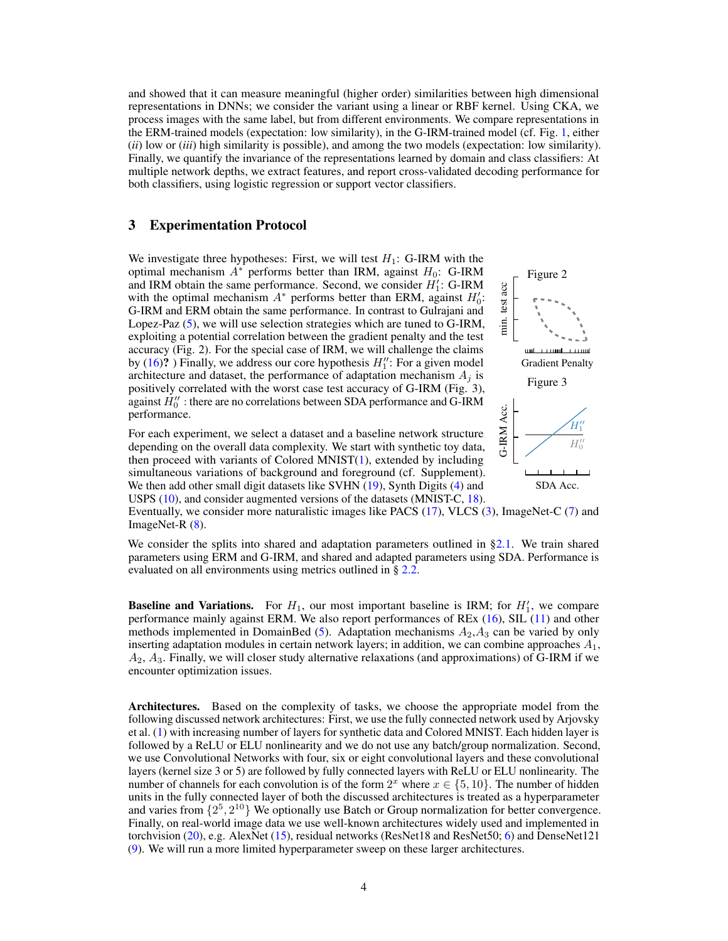and showed that it can measure meaningful (higher order) similarities between high dimensional representations in DNNs; we consider the variant using a linear or RBF kernel. Using CKA, we process images with the same label, but from different environments. We compare representations in the ERM-trained models (expectation: low similarity), in the G-IRM-trained model (cf. Fig. [1,](#page-2-0) either (*ii*) low or (*iii*) high similarity is possible), and among the two models (expectation: low similarity). Finally, we quantify the invariance of the representations learned by domain and class classifiers: At multiple network depths, we extract features, and report cross-validated decoding performance for both classifiers, using logistic regression or support vector classifiers.

## 3 Experimentation Protocol

We investigate three hypotheses: First, we will test  $H_1$ : G-IRM with the optimal mechanism  $A^*$  performs better than IRM, against  $H_0$ : G-IRM and IRM obtain the same performance. Second, we consider  $H_1'$ : G-IRM with the optimal mechanism  $A^*$  performs better than ERM, against  $H'_0$ : G-IRM and ERM obtain the same performance. In contrast to Gulrajani and Lopez-Paz [\(5\)](#page-5-1), we will use selection strategies which are tuned to G-IRM, exploiting a potential correlation between the gradient penalty and the test accuracy (Fig. 2). For the special case of IRM, we will challenge the claims by  $(16)$ ? ) Finally, we address our core hypothesis  $H''_1$ : For a given model architecture and dataset, the performance of adaptation mechanism  $A_j$  is positively correlated with the worst case test accuracy of G-IRM (Fig. 3), against  $H_0''$ : there are no correlations between SDA performance and G-IRM performance.

For each experiment, we select a dataset and a baseline network structure depending on the overall data complexity. We start with synthetic toy data, then proceed with variants of Colored MNIST[\(1\)](#page-5-0), extended by including simultaneous variations of background and foreground (cf. Supplement). We then add other small digit datasets like SVHN [\(19\)](#page-6-7), Synth Digits [\(4\)](#page-5-4) and USPS [\(10\)](#page-5-5), and consider augmented versions of the datasets (MNIST-C, [18\)](#page-6-8).



Figure 2

Eventually, we consider more naturalistic images like PACS [\(17\)](#page-6-9), VLCS [\(3\)](#page-5-6), ImageNet-C [\(7\)](#page-5-7) and ImageNet-R [\(8\)](#page-5-8).

We consider the splits into shared and adaptation parameters outlined in [§2.1.](#page-2-1) We train shared parameters using ERM and G-IRM, and shared and adapted parameters using SDA. Performance is evaluated on all environments using metrics outlined in § [2.2.](#page-2-2)

**Baseline and Variations.** For  $H_1$ , our most important baseline is IRM; for  $H'_1$ , we compare performance mainly against ERM. We also report performances of REx [\(16\)](#page-6-4), SIL [\(11\)](#page-5-2) and other methods implemented in DomainBed [\(5\)](#page-5-1). Adaptation mechanisms  $A_2, A_3$  can be varied by only inserting adaptation modules in certain network layers; in addition, we can combine approaches  $A_1$ ,  $A_2$ ,  $A_3$ . Finally, we will closer study alternative relaxations (and approximations) of G-IRM if we encounter optimization issues.

Architectures. Based on the complexity of tasks, we choose the appropriate model from the following discussed network architectures: First, we use the fully connected network used by Arjovsky et al. [\(1\)](#page-5-0) with increasing number of layers for synthetic data and Colored MNIST. Each hidden layer is followed by a ReLU or ELU nonlinearity and we do not use any batch/group normalization. Second, we use Convolutional Networks with four, six or eight convolutional layers and these convolutional layers (kernel size 3 or 5) are followed by fully connected layers with ReLU or ELU nonlinearity. The number of channels for each convolution is of the form  $2^x$  where  $x \in \{5, 10\}$ . The number of hidden units in the fully connected layer of both the discussed architectures is treated as a hyperparameter and varies from  $\{2^5, 2^{10}\}$  We optionally use Batch or Group normalization for better convergence. Finally, on real-world image data we use well-known architectures widely used and implemented in torchvision [\(20\)](#page-6-10), e.g. AlexNet [\(15\)](#page-6-11), residual networks (ResNet18 and ResNet50; [6\)](#page-5-9) and DenseNet121 [\(9\)](#page-5-10). We will run a more limited hyperparameter sweep on these larger architectures.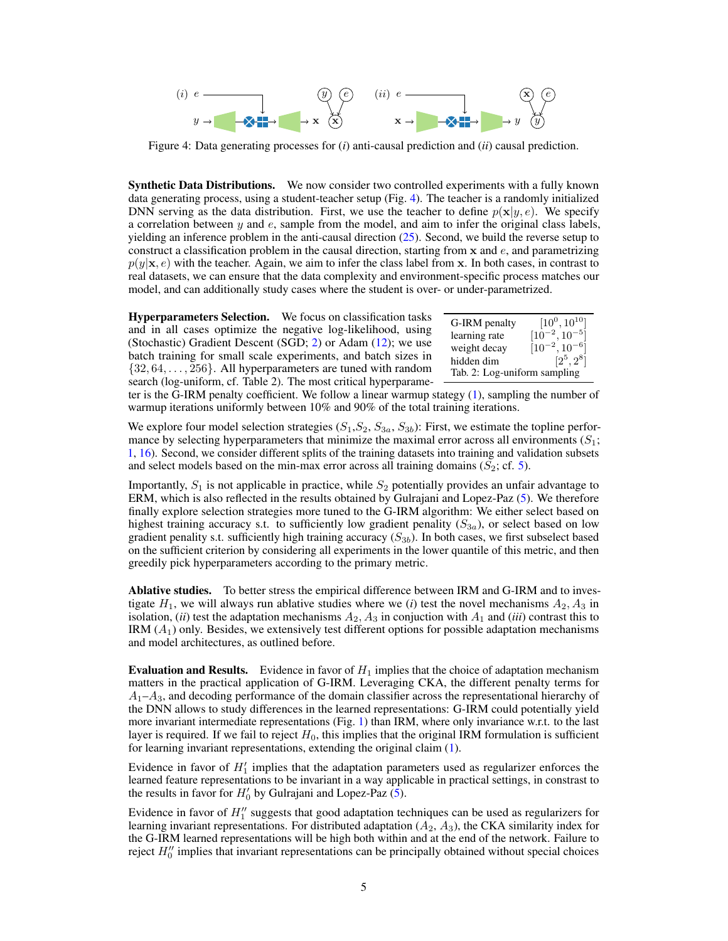<span id="page-4-0"></span>

Figure 4: Data generating processes for (*i*) anti-causal prediction and (*ii*) causal prediction.

Synthetic Data Distributions. We now consider two controlled experiments with a fully known data generating process, using a student-teacher setup (Fig. [4\)](#page-4-0). The teacher is a randomly initialized DNN serving as the data distribution. First, we use the teacher to define  $p(x|y, e)$ . We specify a correlation between  $y$  and  $e$ , sample from the model, and aim to infer the original class labels, yielding an inference problem in the anti-causal direction [\(25\)](#page-6-12). Second, we build the reverse setup to construct a classification problem in the causal direction, starting from  $x$  and  $e$ , and parametrizing  $p(y|\mathbf{x}, e)$  with the teacher. Again, we aim to infer the class label from x. In both cases, in contrast to real datasets, we can ensure that the data complexity and environment-specific process matches our model, and can additionally study cases where the student is over- or under-parametrized.

Hyperparameters Selection. We focus on classification tasks and in all cases optimize the negative log-likelihood, using (Stochastic) Gradient Descent (SGD; [2\)](#page-5-11) or Adam [\(12\)](#page-5-12); we use batch training for small scale experiments, and batch sizes in  $\{32, 64, \ldots, 256\}$ . All hyperparameters are tuned with random search (log-uniform, cf. Table 2). The most critical hyperparame-

| G-IRM penalty                | $[10^0, 10^{10}]$    |
|------------------------------|----------------------|
| learning rate                | $[10^{-2}, 10^{-5}]$ |
| weight decay                 | $[10^{-2}, 10^{-6}]$ |
| hidden dim                   | $[2^5, 2^8]$         |
| Tab. 2: Log-uniform sampling |                      |

ter is the G-IRM penalty coefficient. We follow a linear warmup stategy [\(1\)](#page-5-0), sampling the number of warmup iterations uniformly between 10% and 90% of the total training iterations.

We explore four model selection strategies  $(S_1, S_2, S_{3a}, S_{3b})$ : First, we estimate the topline performance by selecting hyperparameters that minimize the maximal error across all environments  $(S_1;$ [1,](#page-5-0) [16\)](#page-6-4). Second, we consider different splits of the training datasets into training and validation subsets and select models based on the min-max error across all training domains  $(S_2; cf. 5)$  $(S_2; cf. 5)$ .

Importantly,  $S_1$  is not applicable in practice, while  $S_2$  potentially provides an unfair advantage to ERM, which is also reflected in the results obtained by Gulrajani and Lopez-Paz [\(5\)](#page-5-1). We therefore finally explore selection strategies more tuned to the G-IRM algorithm: We either select based on highest training accuracy s.t. to sufficiently low gradient penality  $(S_{3a})$ , or select based on low gradient penality s.t. sufficiently high training accuracy  $(S_{3b})$ . In both cases, we first subselect based on the sufficient criterion by considering all experiments in the lower quantile of this metric, and then greedily pick hyperparameters according to the primary metric.

Ablative studies. To better stress the empirical difference between IRM and G-IRM and to investigate  $H_1$ , we will always run ablative studies where we *(i)* test the novel mechanisms  $A_2, A_3$  in isolation, (*ii*) test the adaptation mechanisms  $A_2$ ,  $A_3$  in conjuction with  $A_1$  and (*iii*) contrast this to IRM  $(A<sub>1</sub>)$  only. Besides, we extensively test different options for possible adaptation mechanisms and model architectures, as outlined before.

**Evaluation and Results.** Evidence in favor of  $H_1$  implies that the choice of adaptation mechanism matters in the practical application of G-IRM. Leveraging CKA, the different penalty terms for  $A_1$ – $A_3$ , and decoding performance of the domain classifier across the representational hierarchy of the DNN allows to study differences in the learned representations: G-IRM could potentially yield more invariant intermediate representations (Fig. [1\)](#page-2-0) than IRM, where only invariance w.r.t. to the last layer is required. If we fail to reject  $H_0$ , this implies that the original IRM formulation is sufficient for learning invariant representations, extending the original claim [\(1\)](#page-5-0).

Evidence in favor of  $H_1'$  implies that the adaptation parameters used as regularizer enforces the learned feature representations to be invariant in a way applicable in practical settings, in constrast to the results in favor for  $H'_0$  by Gulrajani and Lopez-Paz [\(5\)](#page-5-1).

Evidence in favor of  $H_1''$  suggests that good adaptation techniques can be used as regularizers for learning invariant representations. For distributed adaptation  $(A_2, A_3)$ , the CKA similarity index for the G-IRM learned representations will be high both within and at the end of the network. Failure to reject  $H_0''$  implies that invariant representations can be principally obtained without special choices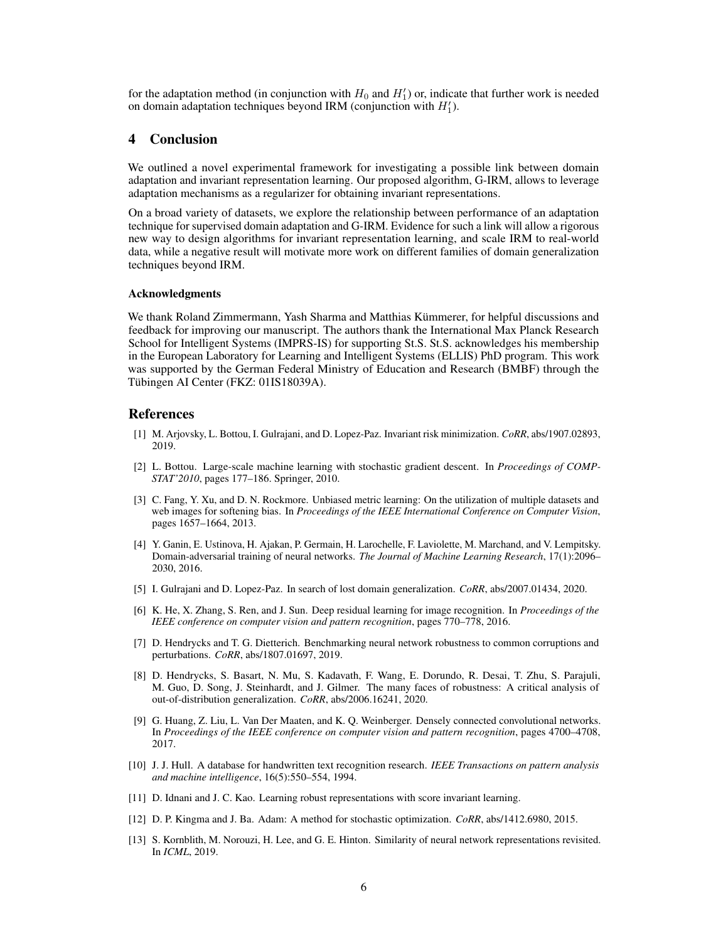for the adaptation method (in conjunction with  $H_0$  and  $H_1'$ ) or, indicate that further work is needed on domain adaptation techniques beyond IRM (conjunction with  $H_1'$ ).

# 4 Conclusion

We outlined a novel experimental framework for investigating a possible link between domain adaptation and invariant representation learning. Our proposed algorithm, G-IRM, allows to leverage adaptation mechanisms as a regularizer for obtaining invariant representations.

On a broad variety of datasets, we explore the relationship between performance of an adaptation technique for supervised domain adaptation and G-IRM. Evidence for such a link will allow a rigorous new way to design algorithms for invariant representation learning, and scale IRM to real-world data, while a negative result will motivate more work on different families of domain generalization techniques beyond IRM.

#### Acknowledgments

We thank Roland Zimmermann, Yash Sharma and Matthias Kümmerer, for helpful discussions and feedback for improving our manuscript. The authors thank the International Max Planck Research School for Intelligent Systems (IMPRS-IS) for supporting St.S. St.S. acknowledges his membership in the European Laboratory for Learning and Intelligent Systems (ELLIS) PhD program. This work was supported by the German Federal Ministry of Education and Research (BMBF) through the Tübingen AI Center (FKZ: 01IS18039A).

## References

- <span id="page-5-0"></span>[1] M. Arjovsky, L. Bottou, I. Gulrajani, and D. Lopez-Paz. Invariant risk minimization. *CoRR*, abs/1907.02893, 2019.
- <span id="page-5-11"></span>[2] L. Bottou. Large-scale machine learning with stochastic gradient descent. In *Proceedings of COMP-STAT'2010*, pages 177–186. Springer, 2010.
- <span id="page-5-6"></span>[3] C. Fang, Y. Xu, and D. N. Rockmore. Unbiased metric learning: On the utilization of multiple datasets and web images for softening bias. In *Proceedings of the IEEE International Conference on Computer Vision*, pages 1657–1664, 2013.
- <span id="page-5-4"></span>[4] Y. Ganin, E. Ustinova, H. Ajakan, P. Germain, H. Larochelle, F. Laviolette, M. Marchand, and V. Lempitsky. Domain-adversarial training of neural networks. *The Journal of Machine Learning Research*, 17(1):2096– 2030, 2016.
- <span id="page-5-1"></span>[5] I. Gulrajani and D. Lopez-Paz. In search of lost domain generalization. *CoRR*, abs/2007.01434, 2020.
- <span id="page-5-9"></span>[6] K. He, X. Zhang, S. Ren, and J. Sun. Deep residual learning for image recognition. In *Proceedings of the IEEE conference on computer vision and pattern recognition*, pages 770–778, 2016.
- <span id="page-5-7"></span>[7] D. Hendrycks and T. G. Dietterich. Benchmarking neural network robustness to common corruptions and perturbations. *CoRR*, abs/1807.01697, 2019.
- <span id="page-5-8"></span>[8] D. Hendrycks, S. Basart, N. Mu, S. Kadavath, F. Wang, E. Dorundo, R. Desai, T. Zhu, S. Parajuli, M. Guo, D. Song, J. Steinhardt, and J. Gilmer. The many faces of robustness: A critical analysis of out-of-distribution generalization. *CoRR*, abs/2006.16241, 2020.
- <span id="page-5-10"></span>[9] G. Huang, Z. Liu, L. Van Der Maaten, and K. Q. Weinberger. Densely connected convolutional networks. In *Proceedings of the IEEE conference on computer vision and pattern recognition*, pages 4700–4708, 2017.
- <span id="page-5-5"></span>[10] J. J. Hull. A database for handwritten text recognition research. *IEEE Transactions on pattern analysis and machine intelligence*, 16(5):550–554, 1994.
- <span id="page-5-2"></span>[11] D. Idnani and J. C. Kao. Learning robust representations with score invariant learning.
- <span id="page-5-12"></span>[12] D. P. Kingma and J. Ba. Adam: A method for stochastic optimization. *CoRR*, abs/1412.6980, 2015.
- <span id="page-5-3"></span>[13] S. Kornblith, M. Norouzi, H. Lee, and G. E. Hinton. Similarity of neural network representations revisited. In *ICML*, 2019.